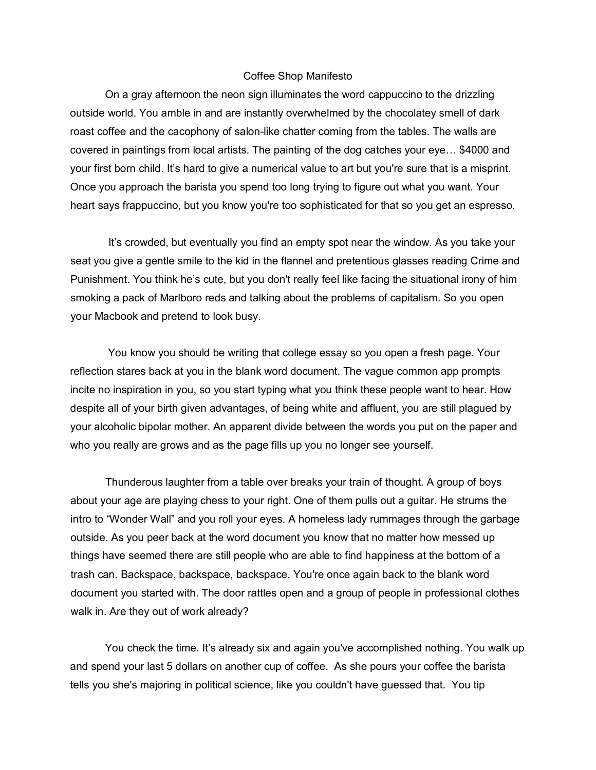## Coffee Shop Manifesto

On a gray afternoon the neon sign illuminates the word cappuccino to the drizzling outside world. You amble in and are instantly overwhelmed by the chocolatey smell of dark roast coffee and the cacophony of salon-like chatter coming from the tables. The walls are covered in paintings from local artists. The painting of the dog catches your eye… \$4000 and your first born child. It's hard to give a numerical value to art but you're sure that is a misprint. Once you approach the barista you spend too long trying to figure out what you want. Your heart says frappuccino, but you know you're too sophisticated for that so you get an espresso.

It's crowded, but eventually you find an empty spot near the window. As you take your seat you give a gentle smile to the kid in the flannel and pretentious glasses reading Crime and Punishment. You think he's cute, but you don't really feel like facing the situational irony of him smoking a pack of Marlboro reds and talking about the problems of capitalism. So you open your Macbook and pretend to look busy.

You know you should be writing that college essay so you open a fresh page. Your reflection stares back at you in the blank word document. The vague common app prompts incite no inspiration in you, so you start typing what you think these people want to hear. How despite all of your birth given advantages, of being white and affluent, you are still plagued by your alcoholic bipolar mother. An apparent divide between the words you put on the paper and who you really are grows and as the page fills up you no longer see yourself.

Thunderous laughter from a table over breaks your train of thought. A group of boys about your age are playing chess to your right. One of them pulls out a guitar. He strums the intro to "Wonder Wall" and you roll your eyes. A homeless lady rummages through the garbage outside. As you peer back at the word document you know that no matter how messed up things have seemed there are still people who are able to find happiness at the bottom of a trash can. Backspace, backspace, backspace. You're once again back to the blank word document you started with. The door rattles open and a group of people in professional clothes walk in. Are they out of work already?

You check the time. It's already six and again you've accomplished nothing. You walk up and spend your last 5 dollars on another cup of coffee. As she pours your coffee the barista tells you she's majoring in political science, like you couldn't have guessed that. You tip